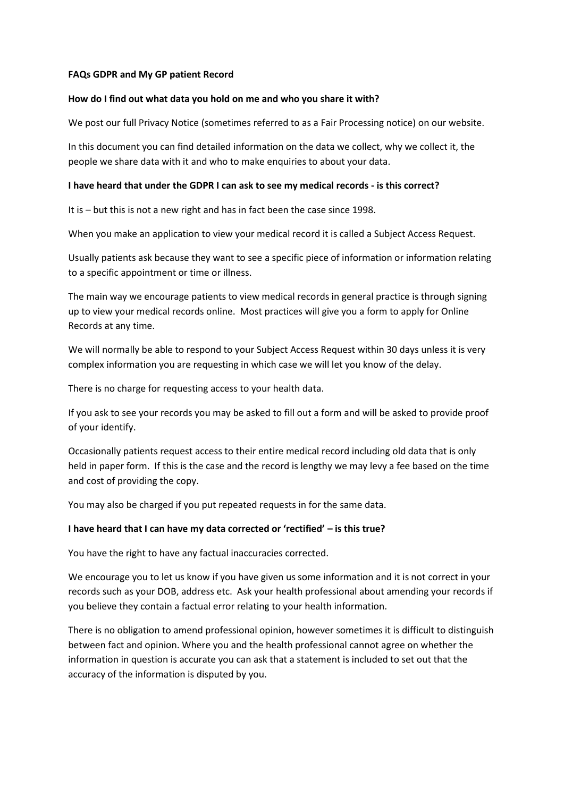#### **FAQs GDPR and My GP patient Record**

### **How do I find out what data you hold on me and who you share it with?**

We post our full Privacy Notice (sometimes referred to as a Fair Processing notice) on our website.

In this document you can find detailed information on the data we collect, why we collect it, the people we share data with it and who to make enquiries to about your data.

### **I have heard that under the GDPR I can ask to see my medical records - is this correct?**

It is – but this is not a new right and has in fact been the case since 1998.

When you make an application to view your medical record it is called a Subject Access Request.

Usually patients ask because they want to see a specific piece of information or information relating to a specific appointment or time or illness.

The main way we encourage patients to view medical records in general practice is through signing up to view your medical records online. Most practices will give you a form to apply for Online Records at any time.

We will normally be able to respond to your Subject Access Request within 30 days unless it is very complex information you are requesting in which case we will let you know of the delay.

There is no charge for requesting access to your health data.

If you ask to see your records you may be asked to fill out a form and will be asked to provide proof of your identify.

Occasionally patients request access to their entire medical record including old data that is only held in paper form. If this is the case and the record is lengthy we may levy a fee based on the time and cost of providing the copy.

You may also be charged if you put repeated requests in for the same data.

## **I have heard that I can have my data corrected or 'rectified' – is this true?**

You have the right to have any factual inaccuracies corrected.

We encourage you to let us know if you have given us some information and it is not correct in your records such as your DOB, address etc. Ask your health professional about amending your records if you believe they contain a factual error relating to your health information.

There is no obligation to amend professional opinion, however sometimes it is difficult to distinguish between fact and opinion. Where you and the health professional cannot agree on whether the information in question is accurate you can ask that a statement is included to set out that the accuracy of the information is disputed by you.